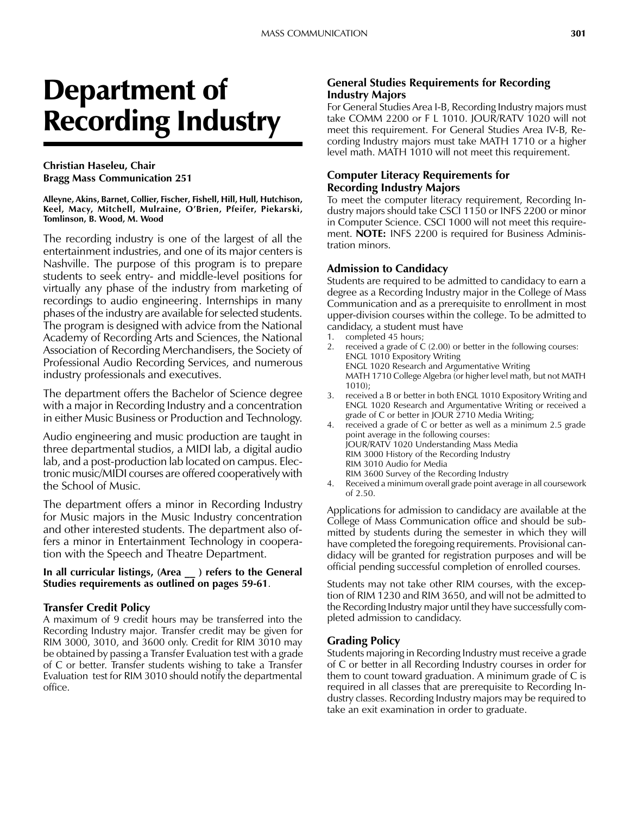# Department of Recording Industry

## Christian Haseleu, Chair Bragg Mass Communication 251

Alleyne, Akins, Barnet, Collier, Fischer, Fishell, Hill, Hull, Hutchison, Keel, Macy, Mitchell, Mulraine, O'Brien, Pfeifer, Piekarski, Tomlinson, B. Wood, M. Wood

The recording industry is one of the largest of all the entertainment industries, and one of its major centers is Nashville. The purpose of this program is to prepare students to seek entry- and middle-level positions for virtually any phase of the industry from marketing of recordings to audio engineering. Internships in many phases of the industry are available for selected students. The program is designed with advice from the National Academy of Recording Arts and Sciences, the National Association of Recording Merchandisers, the Society of Professional Audio Recording Services, and numerous industry professionals and executives.

The department offers the Bachelor of Science degree with a major in Recording Industry and a concentration in either Music Business or Production and Technology.

Audio engineering and music production are taught in three departmental studios, a MIDI lab, a digital audio lab, and a post-production lab located on campus. Electronic music/MIDI courses are offered cooperatively with the School of Music.

The department offers a minor in Recording Industry for Music majors in the Music Industry concentration and other interested students. The department also offers a minor in Entertainment Technology in cooperation with the Speech and Theatre Department.

## In all curricular listings, (Area \_\_ ) refers to the General Studies requirements as outlined on pages 59-61.

## Transfer Credit Policy

A maximum of 9 credit hours may be transferred into the Recording Industry major. Transfer credit may be given for RIM 3000, 3010, and 3600 only. Credit for RIM 3010 may be obtained by passing a Transfer Evaluation test with a grade of C or better. Transfer students wishing to take a Transfer Evaluation test for RIM 3010 should notify the departmental office.

## General Studies Requirements for Recording Industry Majors

For General Studies Area I-B, Recording Industry majors must take COMM 2200 or F L 1010. JOUR/RATV 1020 will not meet this requirement. For General Studies Area IV-B, Recording Industry majors must take MATH 1710 or a higher level math. MATH 1010 will not meet this requirement.

## Computer Literacy Requirements for Recording Industry Majors

To meet the computer literacy requirement, Recording Industry majors should take CSCI 1150 or INFS 2200 or minor in Computer Science. CSCI 1000 will not meet this requirement. **NOTE:** INFS 2200 is required for Business Administration minors.

## Admission to Candidacy

Students are required to be admitted to candidacy to earn a degree as a Recording Industry major in the College of Mass Communication and as a prerequisite to enrollment in most upper-division courses within the college. To be admitted to candidacy, a student must have

- 1. completed 45 hours;
- 2. received a grade of C (2.00) or better in the following courses: ENGL 1010 Expository Writing ENGL 1020 Research and Argumentative Writing MATH 1710 College Algebra (or higher level math, but not MATH 1010);
- 3. received a B or better in both ENGL 1010 Expository Writing and ENGL 1020 Research and Argumentative Writing or received a grade of C or better in JOUR 2710 Media Writing;
- 4. received a grade of C or better as well as a minimum 2.5 grade point average in the following courses: JOUR/RATV 1020 Understanding Mass Media RIM 3000 History of the Recording Industry RIM 3010 Audio for Media RIM 3600 Survey of the Recording Industry
- 4. Received a minimum overall grade point average in all coursework of 2.50.

Applications for admission to candidacy are available at the College of Mass Communication office and should be submitted by students during the semester in which they will have completed the foregoing requirements. Provisional candidacy will be granted for registration purposes and will be official pending successful completion of enrolled courses.

Students may not take other RIM courses, with the exception of RIM 1230 and RIM 3650, and will not be admitted to the Recording Industry major until they have successfully completed admission to candidacy.

## Grading Policy

Students majoring in Recording Industry must receive a grade of C or better in all Recording Industry courses in order for them to count toward graduation. A minimum grade of C is required in all classes that are prerequisite to Recording Industry classes. Recording Industry majors may be required to take an exit examination in order to graduate.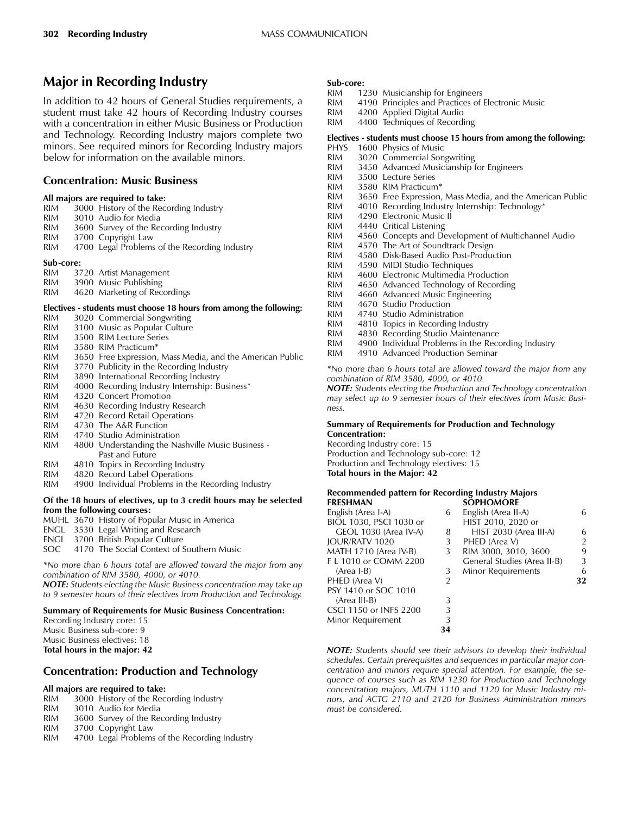## Major in Recording Industry

In addition to 42 hours of General Studies requirements, a student must take 42 hours of Recording Industry courses with a concentration in either Music Business or Production and Technology. Recording Industry majors complete two minors. See required minors for Recording Industry majors below for information on the available minors.

#### Concentration: Music Business

#### All majors are required to take:

| <b>RIM</b> | 3000 History of the Recording Industry                              |
|------------|---------------------------------------------------------------------|
| <b>RIM</b> | 3010 Audio for Media                                                |
| <b>RIM</b> | 3600 Survey of the Recording Industry                               |
| <b>RIM</b> | 3700 Copyright Law                                                  |
| <b>RIM</b> | 4700 Legal Problems of the Recording Industry                       |
| Sub-core:  |                                                                     |
| <b>RIM</b> | 3720 Artist Management                                              |
| RIM        | 3900 Music Publishing                                               |
| RIM        | 4620 Marketing of Recordings                                        |
|            | Electives - students must choose 18 hours from among the following: |
| <b>RIM</b> | 3020 Commercial Songwriting                                         |
| <b>RIM</b> | 3100 Music as Popular Culture                                       |
| RIM.       | 3500 RIM Lecture Series                                             |
| RIM.       | 3580 RIM Practicum*                                                 |
| <b>RIM</b> | 3650 Free Expression, Mass Media, and the American Public           |
| <b>RIM</b> | 3770 Publicity in the Recording Industry                            |
| <b>RIM</b> | 3890 International Recording Industry                               |
| <b>RIM</b> | 4000 Recording Industry Internship: Business*                       |
| <b>RIM</b> | 4320 Concert Promotion                                              |
| <b>RIM</b> | 4630 Recording Industry Research                                    |
| RIM        | 4720 Record Retail Operations                                       |
| RIM        | 4730 The A&R Function                                               |
| <b>RIM</b> | 4740 Studio Administration                                          |
| DIM        | 4800 Understanding the Nashville Music Rusiness                     |

- RIM 4800 Understanding the Nashville Music Business Past and Future
- RIM 4810 Topics in Recording Industry<br>RIM 4820 Record Label Operations
- RIM 4820 Record Label Operations<br>RIM 4900 Individual Problems in the
- 4900 Individual Problems in the Recording Industry

#### Of the 18 hours of electives, up to 3 credit hours may be selected from the following courses:

|  | MUHL 3670 History of Popular Music in America |
|--|-----------------------------------------------|
|  | ENGL 3530 Legal Writing and Research          |
|  | <b>ENGL</b> 3700 British Popular Culture      |
|  | SOC 4170 The Social Context of Southern Music |

\*No more than 6 hours total are allowed toward the major from any combination of RIM 3580, 4000, or 4010.

NOTE: Students electing the Music Business concentration may take up to 9 semester hours of their electives from Production and Technology.

#### Summary of Requirements for Music Business Concentration:

Recording Industry core: 15 Music Business sub-core: 9 Music Business electives: 18 Total hours in the major: 42

## Concentration: Production and Technology

#### All majors are required to take:

| <b>RIM</b> |  |  |  | 3000 History of the Recording Industry |  |  |
|------------|--|--|--|----------------------------------------|--|--|
|------------|--|--|--|----------------------------------------|--|--|

- RIM 3010 Audio for Media<br>RIM 3600 Survey of the Ree
- RIM 3600 Survey of the Recording Industry<br>RIM 3700 Copyright Law
- 3700 Copyright Law
- RIM 4700 Legal Problems of the Recording Industry

## Sub-core:<br>RIM 12

- RIM 1230 Musicianship for Engineers<br>RIM 4190 Principles and Practices of
- RIM 4190 Principles and Practices of Electronic Music<br>RIM 4200 Applied Digital Audio
- 4200 Applied Digital Audio
- RIM 4400 Techniques of Recording

#### Electives - students must choose 15 hours from among the following:

- PHYS 1600 Physics of Music<br>RIM 3020 Commercial Son
- RIM 3020 Commercial Songwriting<br>RIM 3450 Advanced Musicianship f
- RIM 3450 Advanced Musicianship for Engineers
- RIM 3500 Lecture Series<br>RIM 3580 RIM Practicum
- RIM 3580 RIM Practicum\*<br>RIM 3650 Free Expression.
- RIM 3650 Free Expression, Mass Media, and the American Public<br>RIM 4010 Recording Industry Internship: Technology\*
- 4010 Recording Industry Internship: Technology\*
- RIM 4290 Electronic Music II<br>RIM 4440 Critical Listening
- RIM 4440 Critical Listening<br>RIM 4560 Concepts and De
- RIM 4560 Concepts and Development of Multichannel Audio<br>RIM 4570 The Art of Soundtrack Design
- RIM 4570 The Art of Soundtrack Design<br>RIM 4580 Disk-Based Audio Post-Produc
- 4580 Disk-Based Audio Post-Production
- RIM 4590 MIDI Studio Techniques<br>RIM 4600 Electronic Multimedia Pi
- RIM 4600 Electronic Multimedia Production<br>RIM 4650 Advanced Technology of Recordin
- RIM 4650 Advanced Technology of Recording<br>RIM 4660 Advanced Music Engineering
- RIM 4660 Advanced Music Engineering<br>RIM 4670 Studio Production
- 4670 Studio Production
- RIM 4740 Studio Administration<br>RIM 4810 Topics in Recording In
- RIM 4810 Topics in Recording Industry<br>RIM 4830 Recording Studio Maintenan
- RIM 4830 Recording Studio Maintenance<br>RIM 4900 Individual Problems in the Reco
- 4900 Individual Problems in the Recording Industry
- RIM 4910 Advanced Production Seminar

\*No more than 6 hours total are allowed toward the major from any combination of RIM 3580, 4000, or 4010.

NOTE: Students electing the Production and Technology concentration may select up to 9 semester hours of their electives from Music Business.

#### Summary of Requirements for Production and Technology Concentration:

Recording Industry core: 15 Production and Technology sub-core: 12 Production and Technology electives: 15 Total hours in the Major: 42

#### Recommended pattern for Recording Industry Majors<br>FRESHMAN 60PHOMORE SOPHOMORE

| English (Area I-A)      | 6  | English (Area II-A)         | 6             |
|-------------------------|----|-----------------------------|---------------|
| BIOL 1030, PSCI 1030 or |    | HIST 2010, 2020 or          |               |
| GEOL 1030 (Area IV-A)   | 8  | HIST 2030 (Area III-A)      | 6             |
| <b>JOUR/RATV 1020</b>   | 3  | PHED (Area V)               | $\mathcal{P}$ |
| MATH 1710 (Area IV-B)   | 3  | RIM 3000, 3010, 3600        | 9             |
| F L 1010 or COMM 2200   |    | General Studies (Area II-B) | 3             |
| $(Area I-B)$            | 3  | Minor Requirements          | 6             |
| PHED (Area V)           | 2  |                             | 32            |
| PSY 1410 or SOC 1010    |    |                             |               |
| $(Area III-B)$          | 3  |                             |               |
| CSCI 1150 or INFS 2200  | 3  |                             |               |
| Minor Requirement       | 3  |                             |               |
|                         | 34 |                             |               |

NOTE: Students should see their advisors to develop their individual schedules. Certain prerequisites and sequences in particular major concentration and minors require special attention. For example, the sequence of courses such as RIM 1230 for Production and Technology concentration majors, MUTH 1110 and 1120 for Music Industry minors, and ACTG 2110 and 2120 for Business Administration minors must be considered.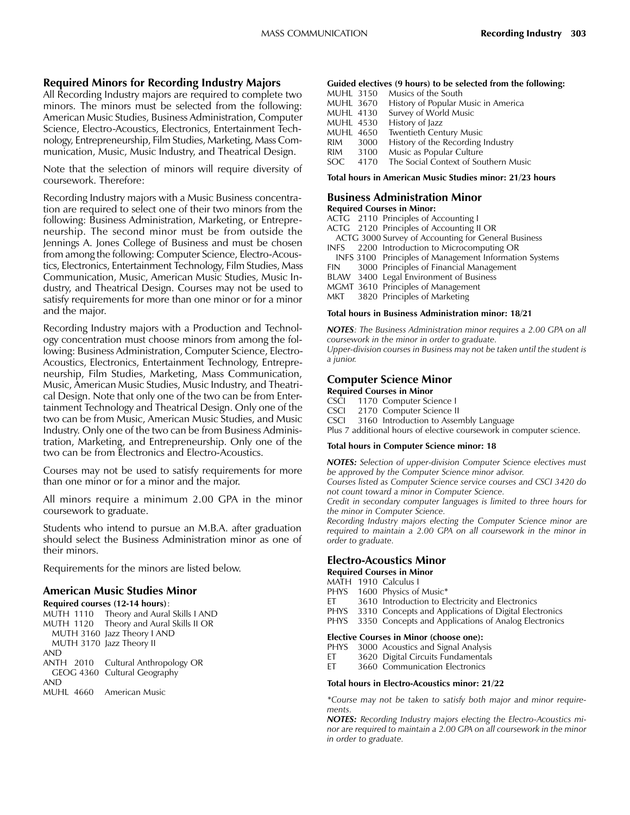#### Required Minors for Recording Industry Majors

All Recording Industry majors are required to complete two minors. The minors must be selected from the following: American Music Studies, Business Administration, Computer Science, Electro-Acoustics, Electronics, Entertainment Technology, Entrepreneurship, Film Studies, Marketing, Mass Communication, Music, Music Industry, and Theatrical Design.

Note that the selection of minors will require diversity of coursework. Therefore:

Recording Industry majors with a Music Business concentration are required to select one of their two minors from the following: Business Administration, Marketing, or Entrepreneurship. The second minor must be from outside the Jennings A. Jones College of Business and must be chosen from among the following: Computer Science, Electro-Acoustics, Electronics, Entertainment Technology, Film Studies, Mass Communication, Music, American Music Studies, Music Industry, and Theatrical Design. Courses may not be used to satisfy requirements for more than one minor or for a minor and the major.

Recording Industry majors with a Production and Technology concentration must choose minors from among the following: Business Administration, Computer Science, Electro-Acoustics, Electronics, Entertainment Technology, Entrepreneurship, Film Studies, Marketing, Mass Communication, Music, American Music Studies, Music Industry, and Theatrical Design. Note that only one of the two can be from Entertainment Technology and Theatrical Design. Only one of the two can be from Music, American Music Studies, and Music Industry. Only one of the two can be from Business Administration, Marketing, and Entrepreneurship. Only one of the two can be from Electronics and Electro-Acoustics.

Courses may not be used to satisfy requirements for more than one minor or for a minor and the major.

All minors require a minimum 2.00 GPA in the minor coursework to graduate.

Students who intend to pursue an M.B.A. after graduation should select the Business Administration minor as one of their minors.

Requirements for the minors are listed below.

#### American Music Studies Minor

|            | Required courses (12-14 hours):         |
|------------|-----------------------------------------|
|            | MUTH 1110 Theory and Aural Skills I AND |
|            | MUTH 1120 Theory and Aural Skills II OR |
|            | MUTH 3160 Jazz Theory I AND             |
|            | MUTH 3170 Jazz Theory II                |
| <b>AND</b> |                                         |
|            | ANTH 2010 Cultural Anthropology OR      |
|            | GEOG 4360 Cultural Geography            |
| <b>AND</b> |                                         |
|            | MUHL 4660 American Music                |
|            |                                         |

#### Guided electives (9 hours) to be selected from the following:

| <b>MUHL 3150</b> |      | Musics of the South                  |
|------------------|------|--------------------------------------|
| <b>MUHL 3670</b> |      | History of Popular Music in America  |
| MUHL 4130        |      | Survey of World Music                |
| <b>MUHL 4530</b> |      | History of Jazz                      |
| <b>MUHL 4650</b> |      | Twentieth Century Music              |
| RIM              | 3000 | History of the Recording Industry    |
| <b>RIM</b>       | 3100 | Music as Popular Culture             |
| SOC.             | 4170 | The Social Context of Southern Music |

Total hours in American Music Studies minor: 21/23 hours

## Business Administration Minor

#### Required Courses in Minor:

- ACTG 2110 Principles of Accounting I ACTG 2120 Principles of Accounting II OR ACTG 3000 Survey of Accounting for General Business<br>INFS 2200 Introduction to Microcomputing OR 2200 Introduction to Microcomputing OR **INFS 3100 Principles of Management Information Systems**<br>**FIN** 3000 Principles of Financial Management 3000 Principles of Financial Management BLAW 3400 Legal Environment of Business
- MGMT 3610 Principles of Management
- MKT 3820 Principles of Marketing

#### Total hours in Business Administration minor: 18/21

NOTES: The Business Administration minor requires a 2.00 GPA on all coursework in the minor in order to graduate. Upper-division courses in Business may not be taken until the student is a junior.

## Computer Science Minor

#### Required Courses in Minor

- CSCI 1170 Computer Science I<br>CSCI 2170 Computer Science II
- CSCI 2170 Computer Science II<br>CSCI 3160 Introduction to Assen
- 3160 Introduction to Assembly Language

Plus 7 additional hours of elective coursework in computer science.

#### Total hours in Computer Science minor: 18

NOTES: Selection of upper-division Computer Science electives must be approved by the Computer Science minor advisor.

Courses listed as Computer Science service courses and CSCI 3420 do not count toward a minor in Computer Science.

Credit in secondary computer languages is limited to three hours for the minor in Computer Science.

Recording Industry majors electing the Computer Science minor are required to maintain a 2.00 GPA on all coursework in the minor in order to graduate.

#### Electro-Acoustics Minor

Required Courses in Minor

MATH 1910 Calculus I<br>PHYS 1600 Physics of

- 1600 Physics of Music\*
- ET 3610 Introduction to Electricity and Electronics
- PHYS 3310 Concepts and Applications of Digital Electronics
- PHYS 3350 Concepts and Applications of Analog Electronics

## **Elective Courses in Minor (choose one):**<br>PHYS 3000 Acoustics and Signal Analys

PHYS 3000 Acoustics and Signal Analysis<br>ET 3620 Digital Circuits Fundamentals

- ET 3620 Digital Circuits Fundamentals<br>ET 3660 Communication Electronics
- 3660 Communication Electronics

#### Total hours in Electro-Acoustics minor: 21/22

\*Course may not be taken to satisfy both major and minor requirements.

NOTES: Recording Industry majors electing the Electro-Acoustics minor are required to maintain a 2.00 GPA on all coursework in the minor in order to graduate.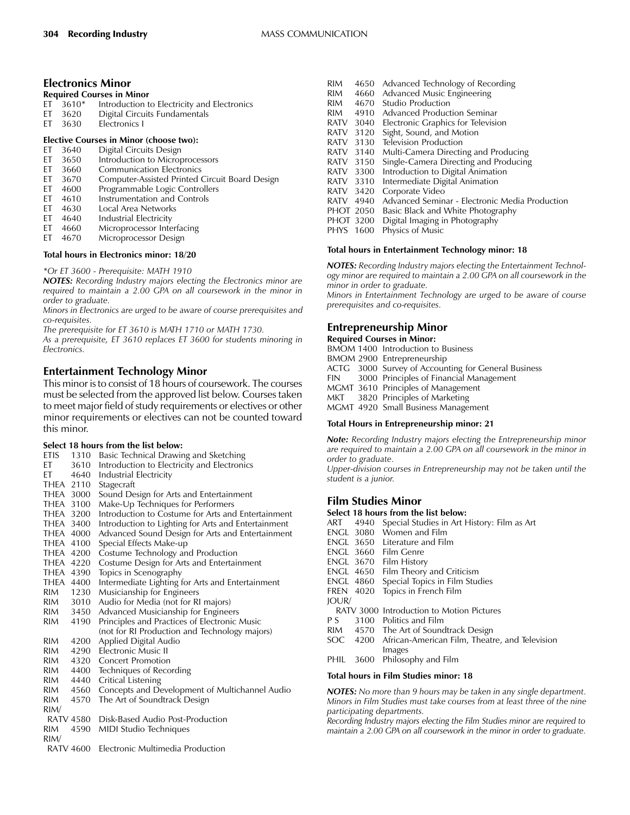#### Electronics Minor

| <b>Required Courses in Minor</b> |              |                                             |  |  |
|----------------------------------|--------------|---------------------------------------------|--|--|
|                                  | $ET = 3610*$ | Introduction to Electricity and Electronics |  |  |
|                                  | ET 3620      | Digital Circuits Fundamentals               |  |  |
|                                  | ET 3630      | Electronics I                               |  |  |

## **Elective Courses in Minor (choose two):**<br>ET 3640 Digital Circuits Design

- ET 3640 Digital Circuits Design<br>ET 3650 Introduction to Microp
- ET 3650 Introduction to Microprocessors<br>ET 3660 Communication Electronics
- ET 3660 Communication Electronics<br>ET 3670 Computer-Assisted Printed (
- Computer-Assisted Printed Circuit Board Design
- ET 4600 Programmable Logic Controllers<br>ET 4610 Instrumentation and Controls
- ET 4610 Instrumentation and Controls<br>ET 4630 Local Area Networks
- ET 4630 Local Area Networks<br>ET 4640 Industrial Electricity
- 4640 Industrial Electricity<br>4660 Microprocessor Inter
- ET 4660 Microprocessor Interfacing<br>ET 4670 Microprocessor Design ET 4670 Microprocessor Design

#### Total hours in Electronics minor: 18/20

#### \*Or ET 3600 - Prerequisite: MATH 1910

NOTES: Recording Industry majors electing the Electronics minor are required to maintain a 2.00 GPA on all coursework in the minor in order to graduate.

Minors in Electronics are urged to be aware of course prerequisites and co-requisites.

The prerequisite for ET 3610 is MATH 1710 or MATH 1730. As a prerequisite, ET 3610 replaces ET 3600 for students minoring in Electronics.

## Entertainment Technology Minor

This minor is to consist of 18 hours of coursework. The courses must be selected from the approved list below. Courses taken to meet major field of study requirements or electives or other minor requirements or electives can not be counted toward this minor.

#### Select 18 hours from the list below:

|            |           | select To hours from the fist below.                |
|------------|-----------|-----------------------------------------------------|
|            | ETIS 1310 | Basic Technical Drawing and Sketching               |
| EТ         | 3610      | Introduction to Electricity and Electronics         |
| EТ         | 4640      | Industrial Electricity                              |
|            | THEA 2110 | Stagecraft                                          |
|            | THEA 3000 | Sound Design for Arts and Entertainment             |
| THEA 3100  |           | Make-Up Techniques for Performers                   |
| THEA 3200  |           | Introduction to Costume for Arts and Entertainment  |
| THEA 3400  |           | Introduction to Lighting for Arts and Entertainment |
| THEA 4000  |           | Advanced Sound Design for Arts and Entertainment    |
| THEA 4100  |           | Special Effects Make-up                             |
| THEA 4200  |           | Costume Technology and Production                   |
| THEA 4220  |           | Costume Design for Arts and Entertainment           |
|            | THEA 4390 | Topics in Scenography                               |
|            | THEA 4400 | Intermediate Lighting for Arts and Entertainment    |
| RIM        | 1230      | Musicianship for Engineers                          |
| RIM        | 3010      | Audio for Media (not for RI majors)                 |
| RIM        | 3450      | Advanced Musicianship for Engineers                 |
| RIM.       | 4190      | Principles and Practices of Electronic Music        |
|            |           | (not for RI Production and Technology majors)       |
| <b>RIM</b> | 4200      | Applied Digital Audio                               |
| <b>RIM</b> | 4290      | <b>Electronic Music II</b>                          |
| <b>RIM</b> | 4320      | <b>Concert Promotion</b>                            |
| RIM        | 4400      | Techniques of Recording                             |
| RIM        | 4440      | Critical Listening                                  |
| RIM        | 4560      | Concepts and Development of Multichannel Audio      |
| <b>RIM</b> | 4570      | The Art of Soundtrack Design                        |
| RIM/       |           |                                                     |
|            | RATV 4580 | Disk-Based Audio Post-Production                    |
| <b>RIM</b> | 4590      | MIDI Studio Techniques                              |
| RIM/       |           |                                                     |
|            |           | DATV 4600. Floatronic Multimodic Dreduction         |

RATV 4600 Electronic Multimedia Production

- RIM 4650 Advanced Technology of Recording<br>RIM 4660 Advanced Music Engineering RIM 4660 Advanced Music Engineering<br>RIM 4670 Studio Production RIM 4670 Studio Production<br>RIM 4910 Advanced Product Advanced Production Seminar RATV 3040 Electronic Graphics for Television<br>RATV 3120 Sight, Sound, and Motion RATV 3120 Sight, Sound, and Motion<br>RATV 3130 Television Production RATV 3130 Television Production<br>RATV 3140 Multi-Camera Directii RATV 3140 Multi-Camera Directing and Producing<br>RATV 3150 Single-Camera Directing and Producing RATV 3150 Single-Camera Directing and Producing<br>RATV 3300 Introduction to Digital Animation RATV 3300 Introduction to Digital Animation<br>RATV 3310 Intermediate Digital Animation RATV 3310 Intermediate Digital Animation<br>RATV 3420 Corporate Video RATV 3420 Corporate Video<br>RATV 4940 Advanced Semin RATV 4940 Advanced Seminar - Electronic Media Production<br>PHOT 2050 Basic Black and White Photography PHOT 2050 Basic Black and White Photography<br>PHOT 3200 Digital Imaging in Photography Digital Imaging in Photography
- PHYS 1600 Physics of Music

#### Total hours in Entertainment Technology minor: 18

NOTES: Recording Industry majors electing the Entertainment Technology minor are required to maintain a 2.00 GPA on all coursework in the minor in order to graduate. Minors in Entertainment Technology are urged to be aware of course prerequisites and co-requisites.

## Entrepreneurship Minor

#### Required Courses in Minor:

BMOM 1400 Introduction to Business

- BMOM 2900 Entrepreneurship
- ACTG 3000 Survey of Accounting for General Business<br>FIN 3000 Principles of Financial Management
- 3000 Principles of Financial Management
- MGMT 3610 Principles of Management<br>MKT 3820 Principles of Marketing
- 3820 Principles of Marketing

MGMT 4920 Small Business Management

#### Total Hours in Entrepreneurship minor: 21

Note: Recording Industry majors electing the Entrepreneurship minor are required to maintain a 2.00 GPA on all coursework in the minor in order to graduate.

Upper-division courses in Entrepreneurship may not be taken until the student is a junior.

## Film Studies Minor

|                  | Select 18 hours from the list below:                    |
|------------------|---------------------------------------------------------|
|                  | ART 4940 Special Studies in Art History: Film as Art    |
|                  | ENGL 3080 Women and Film                                |
|                  | ENGL 3650 Literature and Film                           |
|                  | ENGL 3660 Film Genre                                    |
|                  | ENGL 3670 Film History                                  |
|                  | ENGL 4650 Film Theory and Criticism                     |
| <b>ENGL 4860</b> | Special Topics in Film Studies                          |
| FREN 4020        | Topics in French Film                                   |
| IOUR/            |                                                         |
|                  | RATV 3000 Introduction to Motion Pictures               |
|                  | P S 3100 Politics and Film                              |
|                  | RIM 4570 The Art of Soundtrack Design                   |
|                  | SOC 4200 African-American Film, Theatre, and Television |
|                  | Images                                                  |
|                  | PHIL 3600 Philosophy and Film                           |
|                  |                                                         |

#### Total hours in Film Studies minor: 18

NOTES: No more than 9 hours may be taken in any single department. Minors in Film Studies must take courses from at least three of the nine participating departments.

Recording Industry majors electing the Film Studies minor are required to maintain a 2.00 GPA on all coursework in the minor in order to graduate.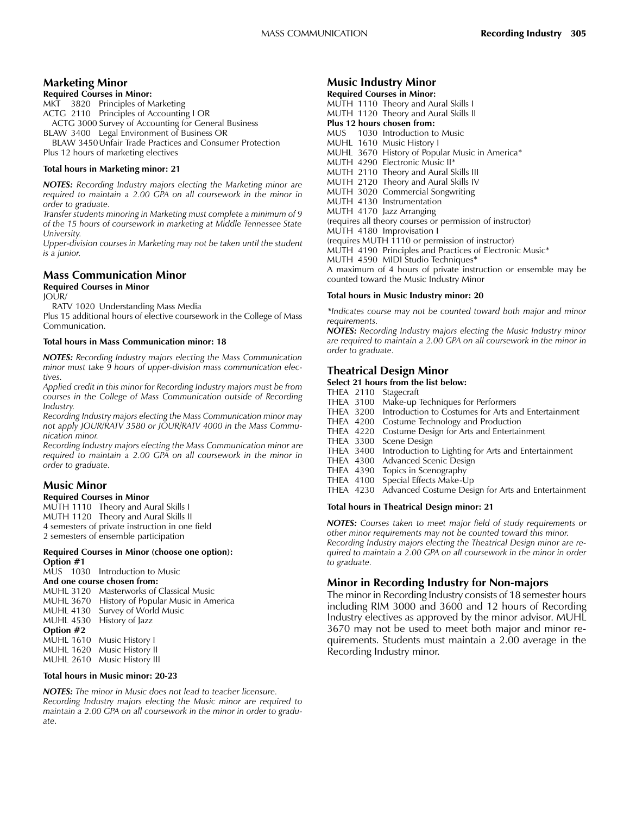### Marketing Minor

#### Required Courses in Minor:

MKT 3820 Principles of Marketing ACTG 2110 Principles of Accounting I OR ACTG 3000 Survey of Accounting for General Business BLAW 3400 Legal Environment of Business OR

BLAW 3450Unfair Trade Practices and Consumer Protection Plus 12 hours of marketing electives

#### Total hours in Marketing minor: 21

NOTES: Recording Industry majors electing the Marketing minor are required to maintain a 2.00 GPA on all coursework in the minor in order to graduate.

Transfer students minoring in Marketing must complete a minimum of 9 of the 15 hours of coursework in marketing at Middle Tennessee State University.

Upper-division courses in Marketing may not be taken until the student is a junior.

## Mass Communication Minor

#### Required Courses in Minor JOUR/

RATV 1020 Understanding Mass Media

Plus 15 additional hours of elective coursework in the College of Mass Communication.

#### Total hours in Mass Communication minor: 18

NOTES: Recording Industry majors electing the Mass Communication minor must take 9 hours of upper-division mass communication electives.

Applied credit in this minor for Recording Industry majors must be from courses in the College of Mass Communication outside of Recording Industry.

Recording Industry majors electing the Mass Communication minor may not apply JOUR/RATV 3580 or JOUR/RATV 4000 in the Mass Communication minor.

Recording Industry majors electing the Mass Communication minor are required to maintain a 2.00 GPA on all coursework in the minor in order to graduate.

## Music Minor

#### Required Courses in Minor

MUTH 1110 Theory and Aural Skills I MUTH 1120 Theory and Aural Skills II 4 semesters of private instruction in one field 2 semesters of ensemble participation

#### Required Courses in Minor (choose one option): Option #1

MUS 1030 Introduction to Music

- And one course chosen from:
- MUHL 3120 Masterworks of Classical Music MUHL 3670 History of Popular Music in America
- MUHL 4130 Survey of World Music
- MUHL 4530 History of Jazz

Option #2

#### MUHL 1610 Music History I MUHL 1620 Music History II MUHL 2610 Music History III

#### Total hours in Music minor: 20-23

NOTES: The minor in Music does not lead to teacher licensure. Recording Industry majors electing the Music minor are required to maintain a 2.00 GPA on all coursework in the minor in order to graduate.

## Music Industry Minor

Required Courses in Minor: MUTH 1110 Theory and Aural Skills I MUTH 1120 Theory and Aural Skills II Plus 12 hours chosen from: MUS 1030 Introduction to Music MUHL 1610 Music History I MUHL 3670 History of Popular Music in America\* MUTH 4290 Electronic Music II\* MUTH 2110 Theory and Aural Skills III MUTH 2120 Theory and Aural Skills IV MUTH 3020 Commercial Songwriting MUTH 4130 Instrumentation MUTH 4170 Jazz Arranging (requires all theory courses or permission of instructor) MUTH 4180 Improvisation I (requires MUTH 1110 or permission of instructor) MUTH 4190 Principles and Practices of Electronic Music\* MUTH 4590 MIDI Studio Techniques\* A maximum of 4 hours of private instruction or ensemble may be counted toward the Music Industry Minor

#### Total hours in Music Industry minor: 20

\*Indicates course may not be counted toward both major and minor requirements.

NOTES: Recording Industry majors electing the Music Industry minor are required to maintain a 2.00 GPA on all coursework in the minor in order to graduate.

## Theatrical Design Minor

#### Select 21 hours from the list below:

- THEA 2110 Stagecraft
- THEA 3100 Make-up Techniques for Performers
- THEA 3200 Introduction to Costumes for Arts and Entertainment
- THEA 4200 Costume Technology and Production
- THEA 4220 Costume Design for Arts and Entertainment
- THEA 3300<br>THEA 3400
- Introduction to Lighting for Arts and Entertainment
- 
- THEA 4300 Advanced Scenic Design Topics in Scenography
- THEA 4100 Special Effects Make-Up
- THEA 4230 Advanced Costume Design for Arts and Entertainment

#### Total hours in Theatrical Design minor: 21

NOTES: Courses taken to meet major field of study requirements or other minor requirements may not be counted toward this minor. Recording Industry majors electing the Theatrical Design minor are required to maintain a 2.00 GPA on all coursework in the minor in order to graduate.

#### Minor in Recording Industry for Non-majors

The minor in Recording Industry consists of 18 semester hours including RIM 3000 and 3600 and 12 hours of Recording Industry electives as approved by the minor advisor. MUHL 3670 may not be used to meet both major and minor requirements. Students must maintain a 2.00 average in the Recording Industry minor.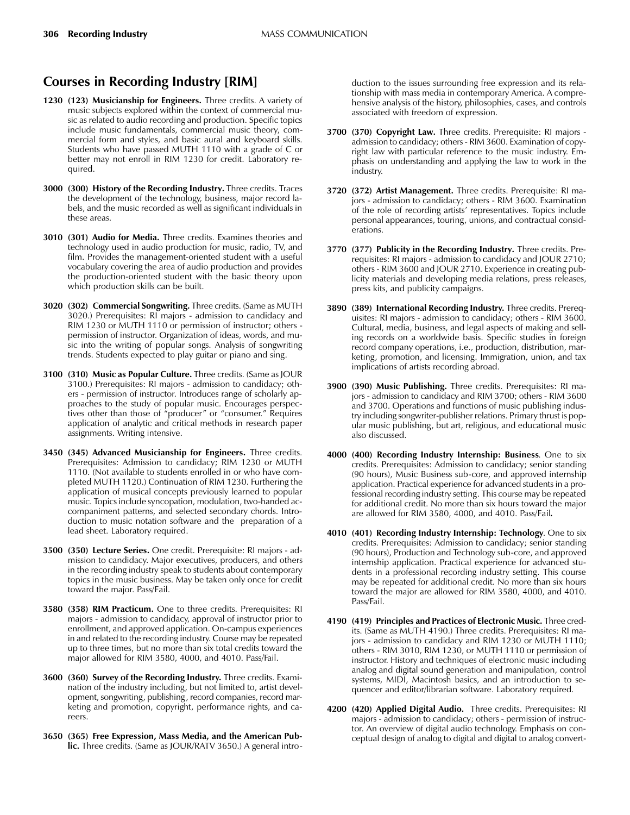## Courses in Recording Industry [RIM]

- 1230 (123) Musicianship for Engineers. Three credits. A variety of music subjects explored within the context of commercial music as related to audio recording and production. Specific topics include music fundamentals, commercial music theory, commercial form and styles, and basic aural and keyboard skills. Students who have passed MUTH 1110 with a grade of C or better may not enroll in RIM 1230 for credit. Laboratory required.
- 3000 (300) History of the Recording Industry. Three credits. Traces the development of the technology, business, major record labels, and the music recorded as well as significant individuals in these areas.
- 3010 (301) Audio for Media. Three credits. Examines theories and technology used in audio production for music, radio, TV, and film. Provides the management-oriented student with a useful vocabulary covering the area of audio production and provides the production-oriented student with the basic theory upon which production skills can be built.
- 3020 (302) Commercial Songwriting. Three credits. (Same as MUTH 3020.) Prerequisites: RI majors - admission to candidacy and RIM 1230 or MUTH 1110 or permission of instructor; others permission of instructor. Organization of ideas, words, and music into the writing of popular songs. Analysis of songwriting trends. Students expected to play guitar or piano and sing.
- 3100 (310) Music as Popular Culture. Three credits. (Same as JOUR 3100.) Prerequisites: RI majors - admission to candidacy; others - permission of instructor. Introduces range of scholarly approaches to the study of popular music. Encourages perspectives other than those of "producer" or "consumer." Requires application of analytic and critical methods in research paper assignments. Writing intensive.
- 3450 (345) Advanced Musicianship for Engineers. Three credits. Prerequisites: Admission to candidacy; RIM 1230 or MUTH 1110. (Not available to students enrolled in or who have completed MUTH 1120.) Continuation of RIM 1230. Furthering the application of musical concepts previously learned to popular music. Topics include syncopation, modulation, two-handed accompaniment patterns, and selected secondary chords. Introduction to music notation software and the preparation of a lead sheet. Laboratory required.
- 3500 (350) Lecture Series. One credit. Prerequisite: RI majors admission to candidacy. Major executives, producers, and others in the recording industry speak to students about contemporary topics in the music business. May be taken only once for credit toward the major. Pass/Fail.
- 3580 (358) RIM Practicum. One to three credits. Prerequisites: RI majors - admission to candidacy, approval of instructor prior to enrollment, and approved application. On-campus experiences in and related to the recording industry. Course may be repeated up to three times, but no more than six total credits toward the major allowed for RIM 3580, 4000, and 4010. Pass/Fail.
- 3600 (360) Survey of the Recording Industry. Three credits. Examination of the industry including, but not limited to, artist development, songwriting, publishing, record companies, record marketing and promotion, copyright, performance rights, and careers.
- 3650 (365) Free Expression, Mass Media, and the American Public. Three credits. (Same as JOUR/RATV 3650.) A general intro-

duction to the issues surrounding free expression and its relationship with mass media in contemporary America. A comprehensive analysis of the history, philosophies, cases, and controls associated with freedom of expression.

- 3700 (370) Copyright Law. Three credits. Prerequisite: RI majors admission to candidacy; others - RIM 3600. Examination of copyright law with particular reference to the music industry. Emphasis on understanding and applying the law to work in the industry.
- 3720 (372) Artist Management. Three credits. Prerequisite: RI majors - admission to candidacy; others - RIM 3600. Examination of the role of recording artists' representatives. Topics include personal appearances, touring, unions, and contractual considerations.
- 3770 (377) Publicity in the Recording Industry. Three credits. Prerequisites: RI majors - admission to candidacy and JOUR 2710; others - RIM 3600 and JOUR 2710. Experience in creating publicity materials and developing media relations, press releases, press kits, and publicity campaigns.
- 3890 (389) International Recording Industry. Three credits. Prerequisites: RI majors - admission to candidacy; others - RIM 3600. Cultural, media, business, and legal aspects of making and selling records on a worldwide basis. Specific studies in foreign record company operations, i.e., production, distribution, marketing, promotion, and licensing. Immigration, union, and tax implications of artists recording abroad.
- 3900 (390) Music Publishing. Three credits. Prerequisites: RI majors - admission to candidacy and RIM 3700; others - RIM 3600 and 3700. Operations and functions of music publishing industry including songwriter-publisher relations. Primary thrust is popular music publishing, but art, religious, and educational music also discussed.
- 4000 (400) Recording Industry Internship: Business. One to six credits. Prerequisites: Admission to candidacy; senior standing (90 hours), Music Business sub-core, and approved internship application. Practical experience for advanced students in a professional recording industry setting. This course may be repeated for additional credit. No more than six hours toward the major are allowed for RIM 3580, 4000, and 4010. Pass/Fail.
- 4010 (401) Recording Industry Internship: Technology. One to six credits. Prerequisites: Admission to candidacy; senior standing (90 hours), Production and Technology sub-core, and approved internship application. Practical experience for advanced students in a professional recording industry setting. This course may be repeated for additional credit. No more than six hours toward the major are allowed for RIM 3580, 4000, and 4010. Pass/Fail.
- 4190 (419) Principles and Practices of Electronic Music. Three credits. (Same as MUTH 4190.) Three credits. Prerequisites: RI majors - admission to candidacy and RIM 1230 or MUTH 1110; others - RIM 3010, RIM 1230, or MUTH 1110 or permission of instructor. History and techniques of electronic music including analog and digital sound generation and manipulation, control systems, MIDI, Macintosh basics, and an introduction to sequencer and editor/librarian software. Laboratory required.
- 4200 (420) Applied Digital Audio. Three credits. Prerequisites: RI majors - admission to candidacy; others - permission of instructor. An overview of digital audio technology. Emphasis on conceptual design of analog to digital and digital to analog convert-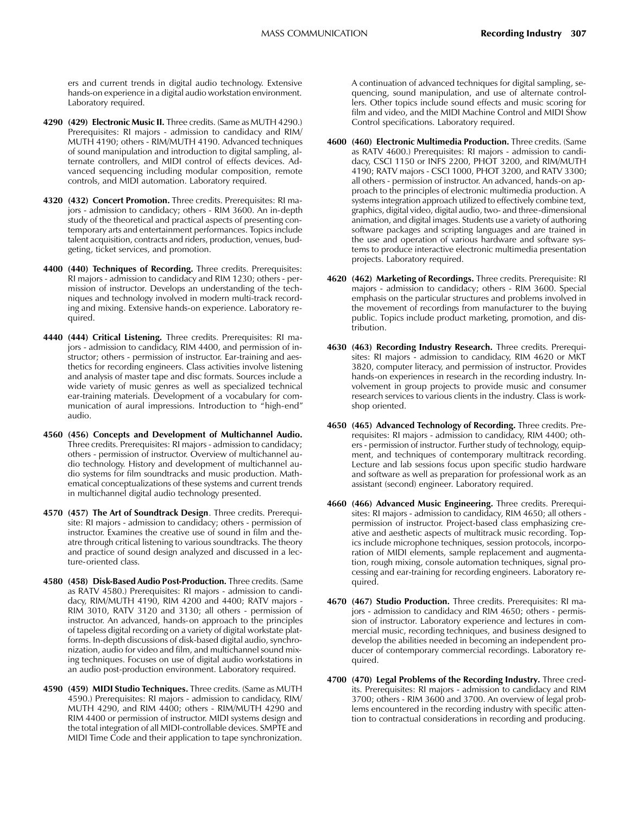ers and current trends in digital audio technology. Extensive hands-on experience in a digital audio workstation environment. Laboratory required.

- 4290 (429) Electronic Music II. Three credits. (Same as MUTH 4290.) Prerequisites: RI majors - admission to candidacy and RIM/ MUTH 4190; others - RIM/MUTH 4190. Advanced techniques of sound manipulation and introduction to digital sampling, alternate controllers, and MIDI control of effects devices. Advanced sequencing including modular composition, remote controls, and MIDI automation. Laboratory required.
- 4320 (432) Concert Promotion. Three credits. Prerequisites: RI majors - admission to candidacy; others - RIM 3600. An in-depth study of the theoretical and practical aspects of presenting contemporary arts and entertainment performances. Topics include talent acquisition, contracts and riders, production, venues, budgeting, ticket services, and promotion.
- 4400 (440) Techniques of Recording. Three credits. Prerequisites: RI majors - admission to candidacy and RIM 1230; others - permission of instructor. Develops an understanding of the techniques and technology involved in modern multi-track recording and mixing. Extensive hands-on experience. Laboratory required.
- 4440 (444) Critical Listening. Three credits. Prerequisites: RI majors - admission to candidacy, RIM 4400, and permission of instructor; others - permission of instructor. Ear-training and aesthetics for recording engineers. Class activities involve listening and analysis of master tape and disc formats. Sources include a wide variety of music genres as well as specialized technical ear-training materials. Development of a vocabulary for communication of aural impressions. Introduction to "high-end" audio.
- 4560 (456) Concepts and Development of Multichannel Audio. Three credits. Prerequisites: RI majors - admission to candidacy; others - permission of instructor. Overview of multichannel audio technology. History and development of multichannel audio systems for film soundtracks and music production. Mathematical conceptualizations of these systems and current trends in multichannel digital audio technology presented.
- 4570 (457) The Art of Soundtrack Design. Three credits. Prerequisite: RI majors - admission to candidacy; others - permission of instructor. Examines the creative use of sound in film and theatre through critical listening to various soundtracks. The theory and practice of sound design analyzed and discussed in a lecture-oriented class.
- 4580 (458) Disk-Based Audio Post-Production. Three credits. (Same as RATV 4580.) Prerequisites: RI majors - admission to candidacy, RIM/MUTH 4190, RIM 4200 and 4400; RATV majors - RIM 3010, RATV 3120 and 3130; all others - permission of instructor. An advanced, hands-on approach to the principles of tapeless digital recording on a variety of digital workstate platforms. In-depth discussions of disk-based digital audio, synchronization, audio for video and film, and multichannel sound mixing techniques. Focuses on use of digital audio workstations in an audio post-production environment. Laboratory required.
- 4590 (459) MIDI Studio Techniques. Three credits. (Same as MUTH 4590.) Prerequisites: RI majors - admission to candidacy, RIM/ MUTH 4290, and RIM 4400; others - RIM/MUTH 4290 and RIM 4400 or permission of instructor. MIDI systems design and the total integration of all MIDI-controllable devices. SMPTE and MIDI Time Code and their application to tape synchronization.

A continuation of advanced techniques for digital sampling, sequencing, sound manipulation, and use of alternate controllers. Other topics include sound effects and music scoring for film and video, and the MIDI Machine Control and MIDI Show Control specifications. Laboratory required.

- 4600 (460) Electronic Multimedia Production. Three credits. (Same as RATV 4600.) Prerequisites: RI majors - admission to candidacy, CSCI 1150 or INFS 2200, PHOT 3200, and RIM/MUTH 4190; RATV majors - CSCI 1000, PHOT 3200, and RATV 3300; all others - permission of instructor. An advanced, hands-on approach to the principles of electronic multimedia production. A systems integration approach utilized to effectively combine text, graphics, digital video, digital audio, two- and three-dimensional animation, and digital images. Students use a variety of authoring software packages and scripting languages and are trained in the use and operation of various hardware and software systems to produce interactive electronic multimedia presentation projects. Laboratory required.
- 4620 (462) Marketing of Recordings. Three credits. Prerequisite: RI majors - admission to candidacy; others - RIM 3600. Special emphasis on the particular structures and problems involved in the movement of recordings from manufacturer to the buying public. Topics include product marketing, promotion, and distribution.
- 4630 (463) Recording Industry Research. Three credits. Prerequisites: RI majors - admission to candidacy, RIM 4620 or MKT 3820, computer literacy, and permission of instructor. Provides hands-on experiences in research in the recording industry. Involvement in group projects to provide music and consumer research services to various clients in the industry. Class is workshop oriented.
- 4650 (465) Advanced Technology of Recording. Three credits. Prerequisites: RI majors - admission to candidacy, RIM 4400; others - permission of instructor. Further study of technology, equipment, and techniques of contemporary multitrack recording. Lecture and lab sessions focus upon specific studio hardware and software as well as preparation for professional work as an assistant (second) engineer. Laboratory required.
- 4660 (466) Advanced Music Engineering. Three credits. Prerequisites: RI majors - admission to candidacy, RIM 4650; all others permission of instructor. Project-based class emphasizing creative and aesthetic aspects of multitrack music recording. Topics include microphone techniques, session protocols, incorporation of MIDI elements, sample replacement and augmentation, rough mixing, console automation techniques, signal processing and ear-training for recording engineers. Laboratory required.
- 4670 (467) Studio Production. Three credits. Prerequisites: RI majors - admission to candidacy and RIM 4650; others - permission of instructor. Laboratory experience and lectures in commercial music, recording techniques, and business designed to develop the abilities needed in becoming an independent producer of contemporary commercial recordings. Laboratory required.
- 4700 (470) Legal Problems of the Recording Industry. Three credits. Prerequisites: RI majors - admission to candidacy and RIM 3700; others - RIM 3600 and 3700. An overview of legal problems encountered in the recording industry with specific attention to contractual considerations in recording and producing.